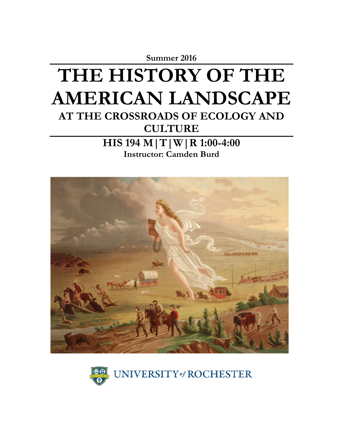

**Instructor: Camden Burd**



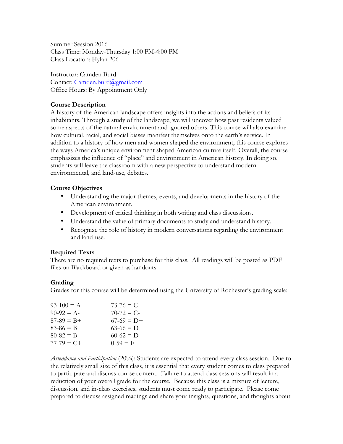Summer Session 2016 Class Time: Monday-Thursday 1:00 PM-4:00 PM Class Location: Hylan 206

Instructor: Camden Burd Contact: Camden.burd@gmail.com Office Hours: By Appointment Only

## **Course Description**

A history of the American landscape offers insights into the actions and beliefs of its inhabitants. Through a study of the landscape, we will uncover how past residents valued some aspects of the natural environment and ignored others. This course will also examine how cultural, racial, and social biases manifest themselves onto the earth's service. In addition to a history of how men and women shaped the environment, this course explores the ways America's unique environment shaped American culture itself. Overall, the course emphasizes the influence of "place" and environment in American history. In doing so, students will leave the classroom with a new perspective to understand modern environmental, and land-use, debates.

## **Course Objectives**

- Understanding the major themes, events, and developments in the history of the American environment.
- Development of critical thinking in both writing and class discussions.
- Understand the value of primary documents to study and understand history.
- Recognize the role of history in modern conversations regarding the environment and land-use.

## **Required Texts**

There are no required texts to purchase for this class. All readings will be posted as PDF files on Blackboard or given as handouts.

# **Grading**

Grades for this course will be determined using the University of Rochester's grading scale:

| $93-100 = A$  | $73-76 = C$      |
|---------------|------------------|
| $90-92 = A$   | $70-72 = C$      |
| $87-89 = B +$ | $67-69 = D+$     |
| $83 - 86 = B$ | $63-66 \equiv D$ |
| $80 - 82 = B$ | $60-62 = D$      |
| $77-79 = C +$ | $0-59 = F$       |

*Attendance and Participation* (20%): Students are expected to attend every class session. Due to the relatively small size of this class, it is essential that every student comes to class prepared to participate and discuss course content. Failure to attend class sessions will result in a reduction of your overall grade for the course. Because this class is a mixture of lecture, discussion, and in-class exercises, students must come ready to participate. Please come prepared to discuss assigned readings and share your insights, questions, and thoughts about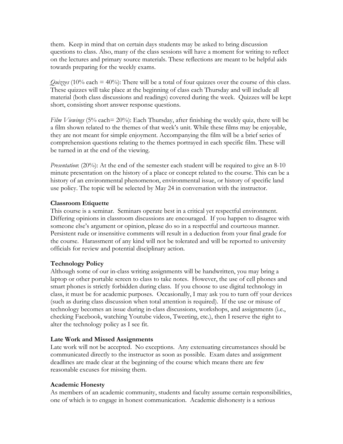them. Keep in mind that on certain days students may be asked to bring discussion questions to class. Also, many of the class sessions will have a moment for writing to reflect on the lectures and primary source materials. These reflections are meant to be helpful aids towards preparing for the weekly exams.

*Quizzes* (10% each = 40%): There will be a total of four quizzes over the course of this class. These quizzes will take place at the beginning of class each Thursday and will include all material (both class discussions and readings) covered during the week. Quizzes will be kept short, consisting short answer response questions.

*Film Viewings* (5% each= 20%): Each Thursday, after finishing the weekly quiz, there will be a film shown related to the themes of that week's unit. While these films may be enjoyable, they are not meant for simple enjoyment. Accompanying the film will be a brief series of comprehension questions relating to the themes portrayed in each specific film. These will be turned in at the end of the viewing.

*Presentation*: (20%): At the end of the semester each student will be required to give an 8-10 minute presentation on the history of a place or concept related to the course. This can be a history of an environmental phenomenon, environmental issue, or history of specific land use policy. The topic will be selected by May 24 in conversation with the instructor.

## **Classroom Etiquette**

This course is a seminar. Seminars operate best in a critical yet respectful environment. Differing opinions in classroom discussions are encouraged. If you happen to disagree with someone else's argument or opinion, please do so in a respectful and courteous manner. Persistent rude or insensitive comments will result in a deduction from your final grade for the course. Harassment of any kind will not be tolerated and will be reported to university officials for review and potential disciplinary action.

## **Technology Policy**

Although some of our in-class writing assignments will be handwritten, you may bring a laptop or other portable screen to class to take notes. However, the use of cell phones and smart phones is strictly forbidden during class. If you choose to use digital technology in class, it must be for academic purposes. Occasionally, I may ask you to turn off your devices (such as during class discussion when total attention is required). If the use or misuse of technology becomes an issue during in-class discussions, workshops, and assignments (i.e., checking Facebook, watching Youtube videos, Tweeting, etc.), then I reserve the right to alter the technology policy as I see fit.

## **Late Work and Missed Assignments**

Late work will not be accepted. No exceptions. Any extenuating circumstances should be communicated directly to the instructor as soon as possible. Exam dates and assignment deadlines are made clear at the beginning of the course which means there are few reasonable excuses for missing them.

## **Academic Honesty**

As members of an academic community, students and faculty assume certain responsibilities, one of which is to engage in honest communication. Academic dishonesty is a serious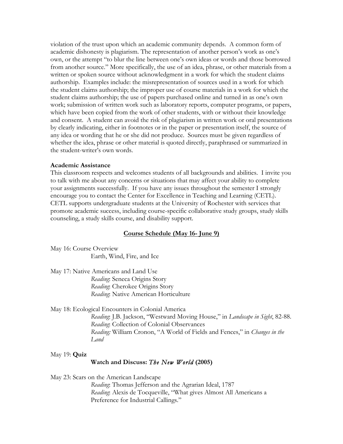violation of the trust upon which an academic community depends. A common form of academic dishonesty is plagiarism. The representation of another person's work as one's own, or the attempt "to blur the line between one's own ideas or words and those borrowed from another source." More specifically, the use of an idea, phrase, or other materials from a written or spoken source without acknowledgment in a work for which the student claims authorship. Examples include: the misrepresentation of sources used in a work for which the student claims authorship; the improper use of course materials in a work for which the student claims authorship; the use of papers purchased online and turned in as one's own work; submission of written work such as laboratory reports, computer programs, or papers, which have been copied from the work of other students, with or without their knowledge and consent. A student can avoid the risk of plagiarism in written work or oral presentations by clearly indicating, either in footnotes or in the paper or presentation itself, the source of any idea or wording that he or she did not produce. Sources must be given regardless of whether the idea, phrase or other material is quoted directly, paraphrased or summarized in the student-writer's own words.

#### **Academic Assistance**

This classroom respects and welcomes students of all backgrounds and abilities. I invite you to talk with me about any concerns or situations that may affect your ability to complete your assignments successfully. If you have any issues throughout the semester I strongly encourage you to contact the Center for Excellence in Teaching and Learning (CETL). CETL supports undergraduate students at the University of Rochester with services that promote academic success, including course-specific collaborative study groups, study skills counseling, a study skills course, and disability support.

#### **Course Schedule (May 16- June 9)**

May 16: Course Overview Earth, Wind, Fire, and Ice

May 17: Native Americans and Land Use *Reading*: Seneca Origins Story *Reading*: Cherokee Origins Story *Reading*: Native American Horticulture

May 18: Ecological Encounters in Colonial America

*Reading*: J.B. Jackson, "Westward Moving House," in *Landscape in Sight*, 82-88. *Reading*: Collection of Colonial Observances *Reading:* William Cronon, "A World of Fields and Fences," in *Changes in the Land*

May 19: **Quiz**

#### **Watch and Discuss:** *The New World* **(2005)**

May 23: Scars on the American Landscape

*Reading*: Thomas Jefferson and the Agrarian Ideal, 1787 *Reading*: Alexis de Tocqueville, "What gives Almost All Americans a Preference for Industrial Callings."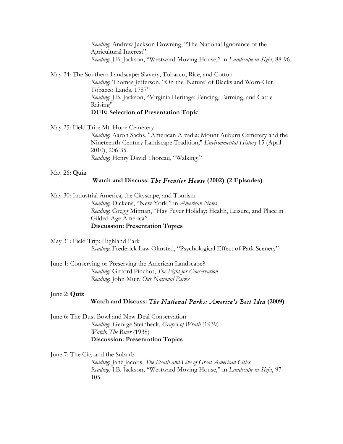*Reading*: Andrew Jackson Downing, "The National Ignorance of the Agricultural Interest" *Reading*: J.B. Jackson, "Westward Moving House," in *Landscape in Sight*, 88-96.

May 24: The Southern Landscape: Slavery, Tobacco, Rice, and Cotton *Reading*: Thomas Jefferson, "On the 'Nature' of Blacks and Worn-Out Tobacco Lands, 1787" *Reading*: J.B. Jackson, "Virginia Heritage; Fencing, Farming, and Cattle Raising" **DUE: Selection of Presentation Topic**

May 25: Field Trip: Mt. Hope Cemetery

*Reading*: Aaron Sachs, "American Arcadia: Mount Auburn Cemetery and the Nineteenth-Century Landscape Tradition," *Environmental History* 15 (April 2010), 206-35. *Reading*: Henry David Thoreau, "Walking."

#### May 26: **Quiz**

### **Watch and Discuss:** *The Frontier House* **(2002)****(2 Episodes)**

May 30: Industrial America, the Cityscape, and Tourism *Reading*: Dickens, "New York," in *American Notes Reading*: Gregg Mitman, "Hay Fever Holiday: Health, Leisure, and Place in Gilded-Age America" **Discussion: Presentation Topics**

May 31: Field Trip: Highland Park *Reading*: Frederick Law Olmsted, "Psychological Effect of Park Scenery"

June 1: Conserving or Preserving the American Landscape? *Reading*: Gifford Pinchot, *The Fight for Conservation Reading*: John Muir, *Our National Parks*

#### June 2: **Quiz**

### **Watch and Discuss:** *The National Parks: America's Best Idea* **(2009)**

June 6: The Dust Bowl and New Deal Conservation *Reading*: George Steinbeck, *Grapes of Wrath* (1939) *Watch: The River* (1938) **Discussion: Presentation Topics**

June 7: The City and the Suburb

*Reading*: Jane Jacobs, *The Death and Live of Great American Cities Reading:* J.B. Jackson, "Westward Moving House," in *Landscape in Sight*, 97- 105.